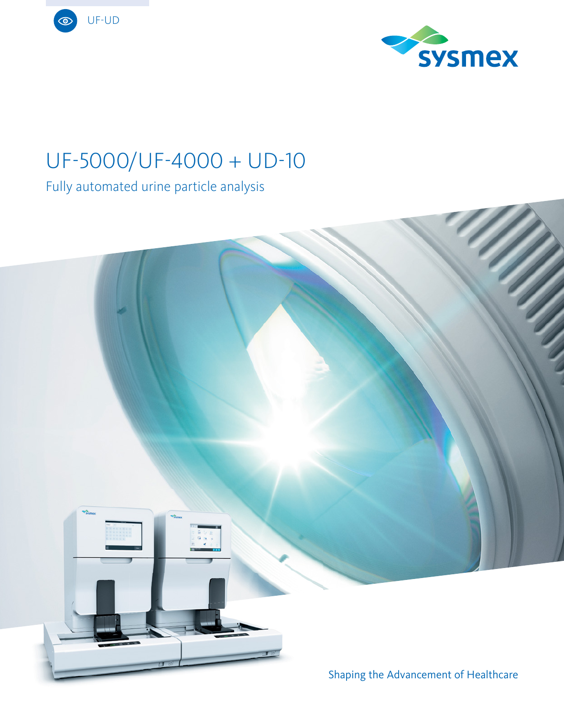



## UF-5000/UF-4000 + UD-10

Fully automated urine particle analysis

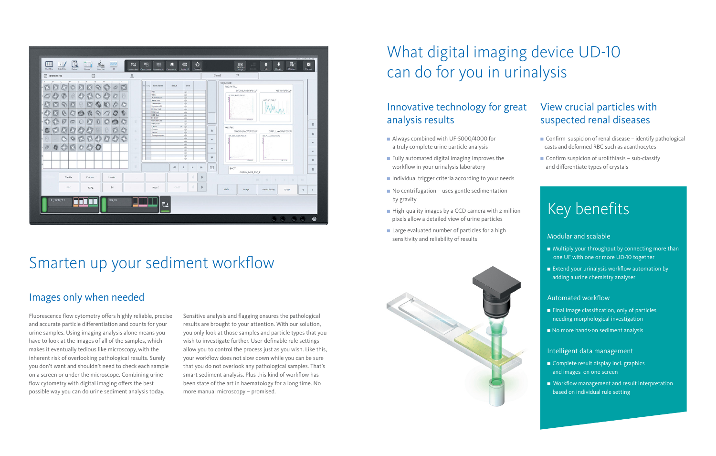# Key benefits



# Smarten up your sediment workflow

### Images only when needed

Fluorescence flow cytometry offers highly reliable, precise and accurate particle differentiation and counts for your urine samples. Using imaging analysis alone means you have to look at the images of all of the samples, which makes it eventually tedious like microscopy, with the inherent risk of overlooking pathological results. Surely you don't want and shouldn't need to check each sample on a screen or under the microscope. Combining urine flow cytometry with digital imaging offers the best possible way you can do urine sediment analysis today.

- $\blacksquare$  Confirm suspicion of renal disease identify pathological casts and deformed RBC such as acanthocytes
- $\Box$  Confirm suspicion of urolithiasis sub-classify and differentiate types of crystals

Sensitive analysis and flagging ensures the pathological results are brought to your attention. With our solution, you only look at those samples and particle types that you wish to investigate further. User-definable rule settings allow you to control the process just as you wish. Like this, your workflow does not slow down while you can be sure that you do not overlook any pathological samples. That's smart sediment analysis. Plus this kind of workflow has been state of the art in haematology for a long time. No more manual microscopy – promised.

- $\blacksquare$  Multiply your throughput by connecting more than one UF with one or more UD-10 together
- $\blacksquare$  Extend your urinalysis workflow automation by adding a urine chemistry analyser

### View crucial particles with suspected renal diseases

- $\blacksquare$  Complete result display incl. graphics and images on one screen
- Workflow management and result interpretation based on individual rule setting

# What digital imaging device UD-10 can do for you in urinalysis

### Innovative technology for great analysis results

- Always combined with UF-5000/4000 for a truly complete urine particle analysis
- $\blacksquare$  Fully automated digital imaging improves the workflow in your urinalysis laboratory
- $\blacksquare$  Individual trigger criteria according to your needs
- $\blacksquare$  No centrifugation uses gentle sedimentation by gravity
- $\blacksquare$  High-quality images by a CCD camera with 2 million pixels allow a detailed view of urine particles
- $\blacksquare$  Large evaluated number of particles for a high sensitivity and reliability of results Modular and scalable



#### Automated workflow

- $\blacksquare$  Final image classification, only of particles needing morphological investigation
- No more hands-on sediment analysis

#### Intelligent data management